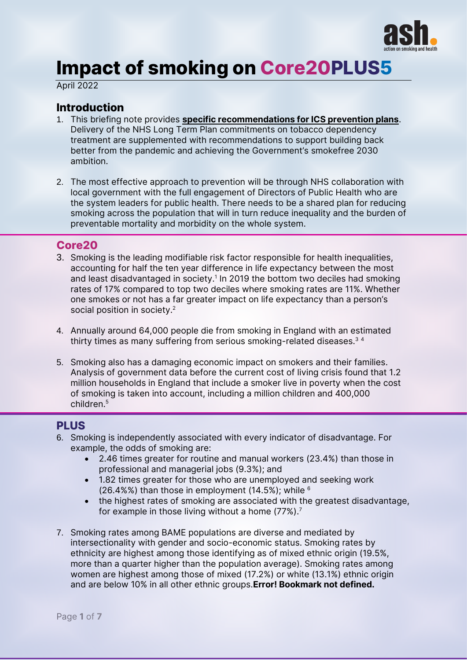

# **Impact of smoking on Core20PLUS5**

April 2022

## **Introduction**

- 1. This briefing note provides specific recommendations for ICS prevention plans. Delivery of the NHS Long Term Plan commitments on tobacco dependency treatment are supplemented with recommendations to support building back better from the pandemic and achieving the Government's smokefree 2030 ambition.
- 2. The most effective approach to prevention will be through NHS collaboration with local government with the full engagement of Directors of Public Health who are the system leaders for public health. There needs to be a shared plan for reducing smoking across the population that will in turn reduce inequality and the burden of preventable mortality and morbidity on the whole system.

## **Core20**

- 3. Smoking is the leading modifiable risk factor responsible for health inequalities, accounting for half the ten year difference in life expectancy between the most and least disadvantaged in society. 1 In 2019 the bottom two deciles had smoking rates of 17% compared to top two deciles where smoking rates are 11%. Whether one smokes or not has a far greater impact on life expectancy than a person's social position in society.<sup>2</sup>
- 4. Annually around 64,000 people die from smoking in England with an estimated thirty times as many suffering from serious smoking-related diseases.<sup>34</sup>
- 5. Smoking also has a damaging economic impact on smokers and their families. Analysis of government data before the current cost of living crisis found that 1.2 million households in England that include a smoker live in poverty when the cost of smoking is taken into account, including a million children and 400,000 children.<sup>5</sup>

## **PLUS**

- 6. Smoking is independently associated with every indicator of disadvantage. For example, the odds of smoking are:
	- 2.46 times greater for routine and manual workers (23.4%) than those in professional and managerial jobs (9.3%); and
	- 1.82 times greater for those who are unemployed and seeking work (26.4%%) than those in employment (14.5%); while  $6$
	- the highest rates of smoking are associated with the greatest disadvantage, for example in those living without a home  $(77\%)$ .<sup>7</sup>
- 7. Smoking rates among BAME populations are diverse and mediated by intersectionality with gender and socio-economic status. Smoking rates by ethnicity are highest among those identifying as of mixed ethnic origin (19.5%, more than a quarter higher than the population average). Smoking rates among women are highest among those of mixed (17.2%) or white (13.1%) ethnic origin and are below 10% in all other ethnic groups. Error! Bookmark not defined.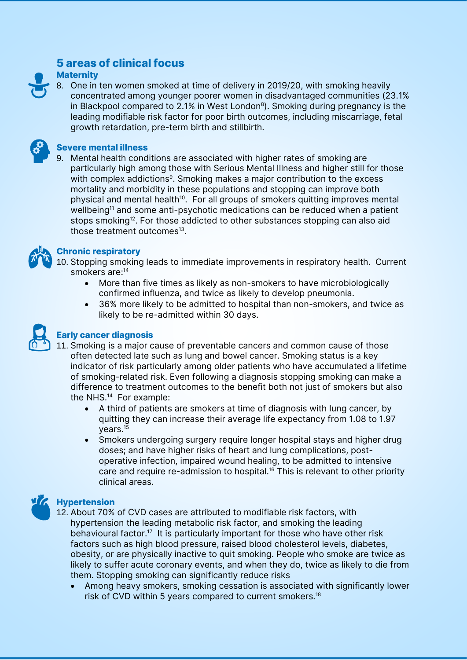## **5 areas of clinical focus**

### **Maternity**

8. One in ten women smoked at time of delivery in 2019/20, with smoking heavily concentrated among younger poorer women in disadvantaged communities (23.1% in Blackpool compared to 2.1% in West London<sup>8</sup>). Smoking during pregnancy is the leading modifiable risk factor for poor birth outcomes, including miscarriage, fetal growth retardation, pre-term birth and stillbirth.



### **Severe mental illness**

9. Mental health conditions are associated with higher rates of smoking are particularly high among those with Serious Mental Illness and higher still for those with complex addictions<sup>9</sup>. Smoking makes a major contribution to the excess mortality and morbidity in these populations and stopping can improve both physical and mental health<sup>10</sup>. For all groups of smokers quitting improves mental wellbeing<sup>11</sup> and some anti-psychotic medications can be reduced when a patient stops smoking<sup>12</sup>. For those addicted to other substances stopping can also aid those treatment outcomes<sup>13</sup>.



## **Chronic respiratory**

10. Stopping smoking leads to immediate improvements in respiratory health. Current smokers are:<sup>14</sup>

- <span id="page-1-0"></span>• More than five times as likely as non-smokers to have microbiologically confirmed influenza, and twice as likely to develop pneumonia.
- 36% more likely to be admitted to hospital than non-smokers, and twice as likely to be re-admitted within 30 days.



## **Early cancer diagnosis**

- 11. Smoking is a major cause of preventable cancers and common cause of those often detected late such as lung and bowel cancer. Smoking status is a key indicator of risk particularly among older patients who have accumulated a lifetime of smoking-related risk. Even following a diagnosis stopping smoking can make a difference to treatment outcomes to the benefit both not just of smokers but also the NHS.[14](#page-1-0) For example:
	- A third of patients are smokers at time of diagnosis with lung cancer, by quitting they can increase their average life expectancy from 1.08 to 1.97 years.<sup>15</sup>
	- Smokers undergoing surgery require longer hospital stays and higher drug doses; and have higher risks of heart and lung complications, postoperative infection, impaired wound healing, to be admitted to intensive care and require re-admission to hospital.<sup>16</sup> This is relevant to other priority clinical areas.

## **Hypertension**

- 12. About 70% of CVD cases are attributed to modifiable risk factors, with hypertension the leading metabolic risk factor, and smoking the leading behavioural factor.<sup>17</sup> It is particularly important for those who have other risk factors such as high blood pressure, raised blood cholesterol levels, diabetes, obesity, or are physically inactive to quit smoking. People who smoke are twice as likely to suffer acute coronary events, and when they do, twice as likely to die from them. Stopping smoking can significantly reduce risks
	- Among heavy smokers, smoking cessation is associated with significantly lower risk of CVD within 5 years compared to current smokers.18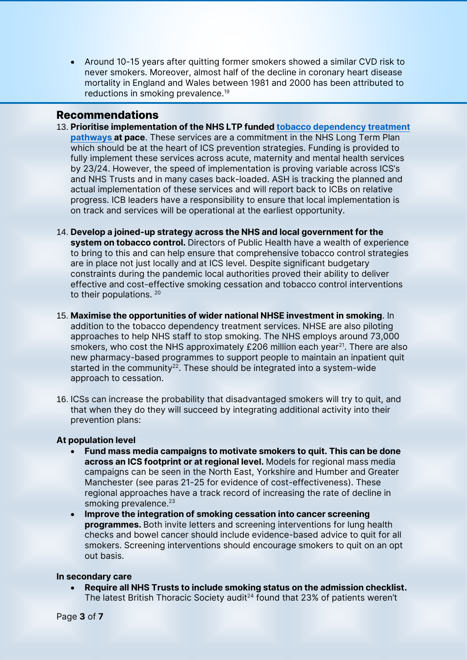• Around 10-15 years after quitting former smokers showed a similar CVD risk to never smokers. Moreover, almost half of the decline in coronary heart disease mortality in England and Wales between 1981 and 2000 has been attributed to reductions in smoking prevalence.<sup>19</sup>

## **Recommendations**

- 13. Prioritise implementation of the NHS LTP funde[d tobacco dependency treatment](https://www.respiratoryfutures.org.uk/media/455584/2021-07-nhse-tobacco-dependence-treatment-services-delivery-model.pdf)  [pathways](https://www.respiratoryfutures.org.uk/media/455584/2021-07-nhse-tobacco-dependence-treatment-services-delivery-model.pdf) at pace. These services are a commitment in the NHS Long Term Plan which should be at the heart of ICS prevention strategies. Funding is provided to fully implement these services across acute, maternity and mental health services by 23/24. However, the speed of implementation is proving variable across ICS's and NHS Trusts and in many cases back-loaded. ASH is tracking the planned and actual implementation of these services and will report back to ICBs on relative progress. ICB leaders have a responsibility to ensure that local implementation is on track and services will be operational at the earliest opportunity.
- 14. Develop a joined-up strategy across the NHS and local government for the system on tobacco control. Directors of Public Health have a wealth of experience to bring to this and can help ensure that comprehensive tobacco control strategies are in place not just locally and at ICS level. Despite significant budgetary constraints during the pandemic local authorities proved their ability to deliver effective and cost-effective smoking cessation and tobacco control interventions to their populations. 20
- 15. Maximise the opportunities of wider national NHSE investment in smoking. In addition to the tobacco dependency treatment services. NHSE are also piloting approaches to help NHS staff to stop smoking. The NHS employs around 73,000 smokers, who cost the NHS approximately  $£206$  million each year<sup>21</sup>. There are also new pharmacy-based programmes to support people to maintain an inpatient quit started in the community<sup>22</sup>. These should be integrated into a system-wide approach to cessation.
- 16. ICSs can increase the probability that disadvantaged smokers will try to quit, and that when they do they will succeed by integrating additional activity into their prevention plans:

### At population level

- Fund mass media campaigns to motivate smokers to quit. This can be done across an ICS footprint or at regional level. Models for regional mass media campaigns can be seen in the North East, Yorkshire and Humber and Greater Manchester (see paras 21-25 for evidence of cost-effectiveness). These regional approaches have a track record of increasing the rate of decline in smoking prevalence. $23$
- Improve the integration of smoking cessation into cancer screening programmes. Both invite letters and screening interventions for lung health checks and bowel cancer should include evidence-based advice to quit for all smokers. Screening interventions should encourage smokers to quit on an opt out basis.

#### In secondary care

• Require all NHS Trusts to include smoking status on the admission checklist. The latest British Thoracic Society audit<sup>24</sup> found that 23% of patients weren't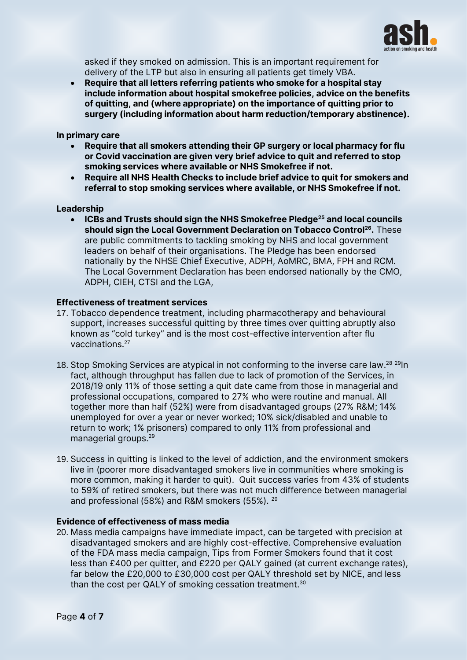

asked if they smoked on admission. This is an important requirement for delivery of the LTP but also in ensuring all patients get timely VBA.

• Require that all letters referring patients who smoke for a hospital stay include information about hospital smokefree policies, advice on the benefits of quitting, and (where appropriate) on the importance of quitting prior to surgery (including information about harm reduction/temporary abstinence).

#### In primary care

- Require that all smokers attending their GP surgery or local pharmacy for flu or Covid vaccination are given very brief advice to quit and referred to stop smoking services where available or NHS Smokefree if not.
- Require all NHS Health Checks to include brief advice to quit for smokers and referral to stop smoking services where available, or NHS Smokefree if not.

#### Leadership

• ICBs and Trusts should sign the NHS Smokefree Pledge<sup>25</sup> and local councils should sign the Local Government Declaration on Tobacco Control<sup>26</sup>. These are public commitments to tackling smoking by NHS and local government leaders on behalf of their organisations. The Pledge has been endorsed nationally by the NHSE Chief Executive, ADPH, AoMRC, BMA, FPH and RCM. The Local Government Declaration has been endorsed nationally by the CMO, ADPH, CIEH, CTSI and the LGA,

#### Effectiveness of treatment services

- 17. Tobacco dependence treatment, including pharmacotherapy and behavioural support, increases successful quitting by three times over quitting abruptly also known as "cold turkey" and is the most cost-effective intervention after flu vaccinations.<sup>27</sup>
- <span id="page-3-0"></span>18. Stop Smoking Services are atypical in not conforming to the inverse care law.<sup>28 29</sup>ln fact, although throughput has fallen due to lack of promotion of the Services, in 2018/19 only 11% of those setting a quit date came from those in managerial and professional occupations, compared to 27% who were routine and manual. All together more than half (52%) were from disadvantaged groups (27% R&M; 14% unemployed for over a year or never worked; 10% sick/disabled and unable to return to work; 1% prisoners) compared to only 11% from professional and managerial groups.[29](#page-3-0)
- 19. Success in quitting is linked to the level of addiction, and the environment smokers live in (poorer more disadvantaged smokers live in communities where smoking is more common, making it harder to quit). Quit success varies from 43% of students to 59% of retired smokers, but there was not much difference between managerial and professional (58%) and R&M smokers (55%). <sup>[29](#page-3-0)</sup>

#### Evidence of effectiveness of mass media

20. Mass media campaigns have immediate impact, can be targeted with precision at disadvantaged smokers and are highly cost-effective. Comprehensive evaluation of the FDA mass media campaign, Tips from Former Smokers found that it cost less than £400 per quitter, and £220 per QALY gained (at current exchange rates), far below the £20,000 to £30,000 cost per QALY threshold set by NICE, and less than the cost per QALY of smoking cessation treatment.<sup>30</sup>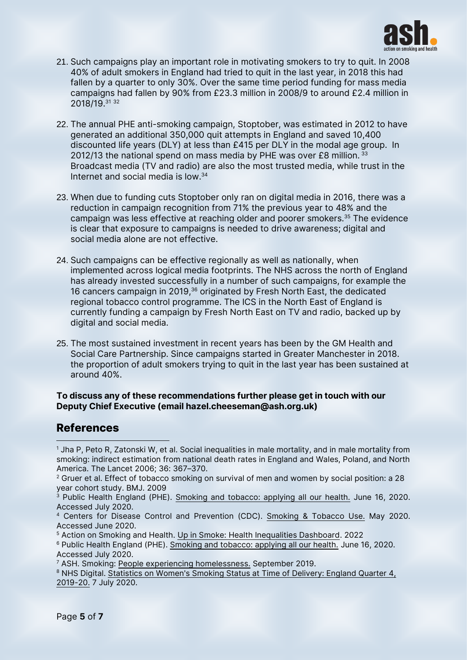

- 21. Such campaigns play an important role in motivating smokers to try to quit. In 2008 40% of adult smokers in England had tried to quit in the last year, in 2018 this had fallen by a quarter to only 30%. Over the same time period funding for mass media campaigns had fallen by 90% from £23.3 million in 2008/9 to around £2.4 million in 2018/19.<sup>31</sup> <sup>32</sup>
- 22. The annual PHE anti-smoking campaign, Stoptober, was estimated in 2012 to have generated an additional 350,000 quit attempts in England and saved 10,400 discounted life years (DLY) at less than £415 per DLY in the modal age group. In 2012/13 the national spend on mass media by PHE was over £8 million.  $33$ Broadcast media (TV and radio) are also the most trusted media, while trust in the Internet and social media is low.<sup>34</sup>
- 23. When due to funding cuts Stoptober only ran on digital media in 2016, there was a reduction in campaign recognition from 71% the previous year to 48% and the campaign was less effective at reaching older and poorer smokers.<sup>35</sup> The evidence is clear that exposure to campaigns is needed to drive awareness; digital and social media alone are not effective.
- 24. Such campaigns can be effective regionally as well as nationally, when implemented across logical media footprints. The NHS across the north of England has already invested successfully in a number of such campaigns, for example the 16 cancers campaign in 2019,<sup>36</sup> originated by Fresh North East, the dedicated regional tobacco control programme. The ICS in the North East of England is currently funding a campaign by Fresh North East on TV and radio, backed up by digital and social media.
- 25. The most sustained investment in recent years has been by the GM Health and Social Care Partnership. Since campaigns started in Greater Manchester in 2018. the proportion of adult smokers trying to quit in the last year has been sustained at around 40%.

#### To discuss any of these recommendations further please get in touch with our Deputy Chief Executive (email hazel.cheeseman@ash.org.uk)

## **References**

<sup>&</sup>lt;sup>1</sup> Jha P, Peto R, Zatonski W, et al. Social inequalities in male mortality, and in male mortality from smoking: indirect estimation from national death rates in England and Wales, Poland, and North America. The Lancet 2006; 36: 367–370.

 $2$  Gruer et al. Effect of tobacco smoking on survival of men and women by social position: a 28 year cohort study. BMJ. 2009

<sup>3</sup> Public Health England (PHE). [Smoking and tobacco: applying all our health.](https://www.gov.uk/government/publications/smoking-and-tobacco-applying-all-our-health/smoking-and-tobacco-applying-all-our-health#:~:text=Smoking%20is%20the%20leading%20cause,a%20serious%20smoking%2Drelated%20illness.) June 16, 2020. Accessed July 2020.

<sup>4</sup> Centers for Disease Control and Prevention (CDC). [Smoking & Tobacco Use.](https://www.cdc.gov/tobacco/data_statistics/fact_sheets/fast_facts/index.htm) May 2020. Accessed June 2020.

<sup>5</sup> Action on Smoking and Health. [Up in Smoke: Health Inequalities Dashboard.](https://ash.org.uk/wp-content/uploads/2022/02/Up-in-smoke_how-tobacco-drives-economic-and-health-inequalities-dashboard.zip) 2022

<sup>6</sup> Public Health England (PHE). [Smoking and tobacco: applying all our health.](https://www.gov.uk/government/publications/smoking-and-tobacco-applying-all-our-health/smoking-and-tobacco-applying-all-our-health#:~:text=Smoking%20is%20the%20leading%20cause,a%20serious%20smoking%2Drelated%20illness.) June 16, 2020. Accessed July 2020.

<sup>7</sup> ASH. Smoking: [People experiencing homelessness.](https://ash.org.uk/wp-content/uploads/2019/09/HIRP-People-experiencing-homelessness-1.pdf) September 2019.

<sup>&</sup>lt;sup>8</sup> NHS Digital. Statistics on Women's Smoking Status at Time of Delivery: England Quarter 4, [2019-20.](https://digital.nhs.uk/data-and-information/publications/statistical/statistics-on-women-s-smoking-status-at-time-of-delivery-england/statistics-on-womens-smoking-status-at-time-of-delivery-england-quarter-4-2019-20) 7 July 2020.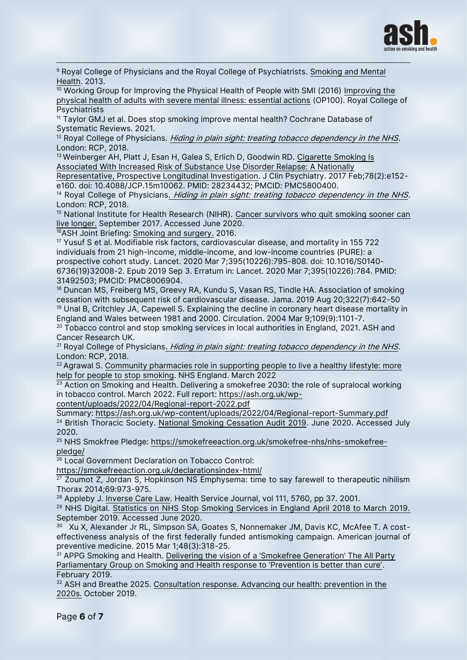

<sup>9</sup> Royal College of Physicians and the Royal College of Psychiatrists. Smoking and Mental [Health.](https://www.rcplondon.ac.uk/projects/outputs/smoking-and-mental-health) 2013.

 $\frac{10}{10}$  Working Group for [Improving the](https://www.aomrc.org.uk/wp-content/uploads/2016/10/Improving_-physical_health_adults_with_SMI_essential_actions_251016-2.pdf) Physical Health of People with SMI (2016) Improving the [physical health of adults with severe mental illness: essential actions](https://www.aomrc.org.uk/wp-content/uploads/2016/10/Improving_-physical_health_adults_with_SMI_essential_actions_251016-2.pdf) (OP100). Royal College of Psychiatrists

<sup>11</sup> Taylor GMJ et al. Does stop smoking improve mental health? Cochrane Database of Systematic Reviews. 2021.

 $12$  Royal College of Physicians. [Hiding in plain sight: treating tobacco dependency in the NHS.](https://www.rcplondon.ac.uk/projects/outputs/hiding-plain-sight-treating-tobacco-dependency-nhs) London: RCP, 2018.

<sup>13</sup> Weinberger AH, Platt J, Esan H, Galea S, Erlich D, Goodwin RD. Cigarette Smoking Is [Associated With Increased Risk of Substance Use Disorder Relapse: A Nationally](https://www.psychiatrist.com/jcp/addiction/substance-use-disorders/smoking-and-risk-of-sud-relapse/)  [Representative, Prospective Longitudinal Investigation.](https://www.psychiatrist.com/jcp/addiction/substance-use-disorders/smoking-and-risk-of-sud-relapse/) J Clin Psychiatry. 2017 Feb;78(2):e152-

e160. doi: 10.4088/JCP.15m10062. PMID: 28234432; PMCID: PMC5800400.

<sup>14</sup> Royal College of Physicians. *[Hiding in plain sight: treating tobacco dependency in the NHS.](https://www.rcplondon.ac.uk/projects/outputs/hiding-plain-sight-treating-tobacco-dependency-nhs)* London: RCP, 2018.

<sup>15</sup> National Institute for Health Research (NIHR). Cancer survivors who quit smoking sooner can [live longer.](https://www.spcr.nihr.ac.uk/news/quit-smoking-and-live-a-longer-and-better-life) September 2017. Accessed June 2020.

<sup>16</sup>ASH Joint Briefing: [Smoking and surgery.](https://www.accs.ac.uk/sites/default/files/Joint-briefing-Smoking-Surgery.pdf) 2016.

<sup>17</sup> Yusuf S et al. Modifiable risk factors, cardiovascular disease, and mortality in 155 722 individuals from 21 high-income, middle-income, and low-income countries (PURE): a prospective cohort study. Lancet. 2020 Mar 7;395(10226):795-808. doi: 10.1016/S0140- 6736(19)32008-2. Epub 2019 Sep 3. Erratum in: Lancet. 2020 Mar 7;395(10226):784. PMID: 31492503; PMCID: PMC8006904.

<sup>18</sup> Duncan MS, Freiberg MS, Greevy RA, Kundu S, Vasan RS, Tindle HA. Association of smoking cessation with subsequent risk of cardiovascular disease. Jama. 2019 Aug 20;322(7):642-50 <sup>19</sup> Unal B, Critchley JA, Capewell S. Explaining the decline in coronary heart disease mortality in

England and Wales between 1981 and 2000. Circulation. 2004 Mar 9;109(9):1101-7.

 $20$  Tobacco control and stop smoking services in local authorities in England, 2021. ASH and Cancer Research UK.

 $21$  Royal College of Physicians. [Hiding in plain sight: treating tobacco dependency in the NHS.](https://www.rcplondon.ac.uk/projects/outputs/hiding-plain-sight-treating-tobacco-dependency-nhs) London: RCP, 2018.

 $22$  Agrawal S. Community pharmacies role in supporting people to live a healthy lifestyle: more [help for people to stop smoking.](https://www.england.nhs.uk/blog/community-pharmacies-role-in-supporting-people-live-a-healthy-lifestyle-more-help-for-people-to-stop-smoking/) NHS England. March 2022

 $23$  Action on Smoking and Health. Delivering a smokefree 2030: the role of supralocal working in tobacco control. March 2022. Full report: [https://ash.org.uk/wp-](https://ash.org.uk/wp-content/uploads/2022/04/Regional-report-2022.pdf)

[content/uploads/2022/04/Regional-report-2022.pdf](https://ash.org.uk/wp-content/uploads/2022/04/Regional-report-2022.pdf)

Summary:<https://ash.org.uk/wp-content/uploads/2022/04/Regional-report-Summary.pdf> <sup>24</sup> British Thoracic Society. [National Smoking Cessation Audit 2019.](https://www.brit-thoracic.org.uk/quality-improvement/clinical-audit/national-smoking-cessation-audit-2019/) June 2020. Accessed July 2020.

<sup>25</sup> NHS Smokfree Pledge: [https://smokefreeaction.org.uk/smokefree-nhs/nhs-smokefree](https://smokefreeaction.org.uk/smokefree-nhs/nhs-smokefree-pledge/)[pledge/](https://smokefreeaction.org.uk/smokefree-nhs/nhs-smokefree-pledge/)

<sup>26</sup> Local Government Declaration on Tobacco Control:

<https://smokefreeaction.org.uk/declarationsindex-html/>

 $27$  Zoumot Z, Jordan S, Hopkinson NS Emphysema: time to say farewell to therapeutic nihilism Thorax 2014;69:973-975.

<sup>28</sup> Appleby J. [Inverse Care Law.](https://www.kingsfund.org.uk/publications/articles/inverse-care-law) Health Service Journal, vol 111, 5760, pp 37. 2001.

<sup>29</sup> NHS Digital. [Statistics on NHS Stop Smoking Services in England April 2018 to March 2019.](https://digital.nhs.uk/data-and-information/publications/statistical/statistics-on-nhs-stop-smoking-services-in-england/april-2018-to-march-2019) September 2019. Accessed June 2020.

 $^{\rm 30}~$  Xu X, Alexander Jr RL, Simpson SA, Goates S, Nonnemaker JM, Davis KC, McAfee T. A  $\rm cost$  effectiveness analysis of the first federally funded antismoking campaign. American journal of preventive medicine. 2015 Mar 1;48(3):318-25.

<sup>31</sup> APPG Smoking and Health. Delivering the vision of a 'Smokefree Generation' The All Party Parliame[ntary Group on Smoking and Health response to 'Prevention is better than cure'](https://ash.org.uk/wp-content/uploads/2019/03/2019-APPG-report.pdf). February 2019.

<sup>32</sup> ASH and Breathe 2025. Consultation response. Advancing our health: prevention in the [2020s.](https://ash.org.uk/information-and-resources/reports-submissions/submissions/ash-and-breathe2025-response-to-advancing-our-health-prevention-in-the-2020s/) October 2019.

Page 6 of 7